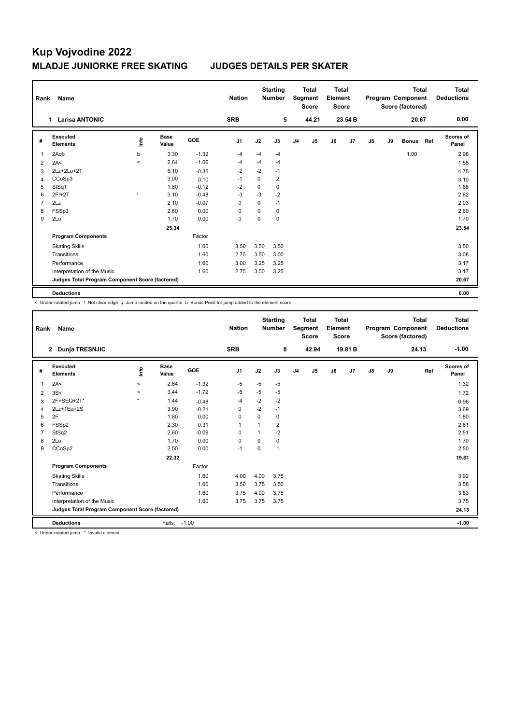| Rank           | Name                                            |                          |                      |            | <b>Nation</b>  |             | <b>Starting</b><br><b>Number</b> |                | <b>Total</b><br>Segment<br><b>Score</b> | <b>Total</b><br>Element<br><b>Score</b> |         |    |    | <b>Total</b><br>Program Component<br>Score (factored) |     | <b>Total</b><br><b>Deductions</b> |
|----------------|-------------------------------------------------|--------------------------|----------------------|------------|----------------|-------------|----------------------------------|----------------|-----------------------------------------|-----------------------------------------|---------|----|----|-------------------------------------------------------|-----|-----------------------------------|
|                | <b>Larisa ANTONIC</b><br>1.                     |                          |                      |            | <b>SRB</b>     |             | 5                                |                | 44.21                                   |                                         | 23.54 B |    |    | 20.67                                                 |     | 0.00                              |
| #              | Executed<br><b>Elements</b>                     | ١nfo                     | <b>Base</b><br>Value | <b>GOE</b> | J <sub>1</sub> | J2          | J3                               | J <sub>4</sub> | J5                                      | J6                                      | J7      | J8 | J9 | <b>Bonus</b>                                          | Ref | <b>Scores of</b><br>Panel         |
| 1              | 2Aqb                                            | b                        | 3.30                 | $-1.32$    | $-4$           | $-4$        | $-4$                             |                |                                         |                                         |         |    |    | 1.00                                                  |     | 2.98                              |
| $\overline{2}$ | 2A<                                             | $\overline{\phantom{0}}$ | 2.64                 | $-1.06$    | $-4$           | -4          | -4                               |                |                                         |                                         |         |    |    |                                                       |     | 1.58                              |
| 3              | 2Lz+2Lo+2T                                      |                          | 5.10                 | $-0.35$    | $-2$           | $-2$        | $-1$                             |                |                                         |                                         |         |    |    |                                                       |     | 4.75                              |
| 4              | CCoSp3                                          |                          | 3.00                 | 0.10       | -1             | $\mathbf 0$ | $\overline{\mathbf{c}}$          |                |                                         |                                         |         |    |    |                                                       |     | 3.10                              |
| 5              | StSq1                                           |                          | 1.80                 | $-0.12$    | $-2$           | $\mathbf 0$ | $\mathbf 0$                      |                |                                         |                                         |         |    |    |                                                       |     | 1.68                              |
| 6              | 2F!+2T                                          |                          | 3.10                 | $-0.48$    | $-3$           | $-3$        | $-2$                             |                |                                         |                                         |         |    |    |                                                       |     | 2.62                              |
| 7              | 2Lz                                             |                          | 2.10                 | $-0.07$    | $\Omega$       | $\mathbf 0$ | $-1$                             |                |                                         |                                         |         |    |    |                                                       |     | 2.03                              |
| 8              | FSSp3                                           |                          | 2.60                 | 0.00       | $\Omega$       | 0           | 0                                |                |                                         |                                         |         |    |    |                                                       |     | 2.60                              |
| 9              | 2Lo                                             |                          | 1.70                 | 0.00       | $\mathbf 0$    | $\mathbf 0$ | $\mathbf 0$                      |                |                                         |                                         |         |    |    |                                                       |     | 1.70                              |
|                |                                                 |                          | 25.34                |            |                |             |                                  |                |                                         |                                         |         |    |    |                                                       |     | 23.54                             |
|                | <b>Program Components</b>                       |                          |                      | Factor     |                |             |                                  |                |                                         |                                         |         |    |    |                                                       |     |                                   |
|                | <b>Skating Skills</b>                           |                          |                      | 1.60       | 3.50           | 3.50        | 3.50                             |                |                                         |                                         |         |    |    |                                                       |     | 3.50                              |
|                | Transitions                                     |                          |                      | 1.60       | 2.75           | 3.50        | 3.00                             |                |                                         |                                         |         |    |    |                                                       |     | 3.08                              |
|                | Performance                                     |                          |                      | 1.60       | 3.00           | 3.25        | 3.25                             |                |                                         |                                         |         |    |    |                                                       |     | 3.17                              |
|                | Interpretation of the Music                     |                          |                      | 1.60       | 2.75           | 3.50        | 3.25                             |                |                                         |                                         |         |    |    |                                                       |     | 3.17                              |
|                | Judges Total Program Component Score (factored) |                          |                      |            |                |             |                                  |                |                                         |                                         |         |    |    |                                                       |     | 20.67                             |
|                | <b>Deductions</b>                               |                          |                      |            |                |             |                                  |                |                                         |                                         |         |    |    |                                                       |     | 0.00                              |

< Under-rotated jump ! Not clear edge q Jump landed on the quarter b Bonus Point for jump added to the element score

| Rank | <b>Name</b>                                     |         |                      |         | <b>Nation</b>  |          | <b>Starting</b><br><b>Number</b> |                | <b>Total</b><br>Segment<br><b>Score</b> | Total<br>Element<br><b>Score</b> |         |    |    | <b>Total</b><br>Program Component<br>Score (factored) | Total<br><b>Deductions</b> |
|------|-------------------------------------------------|---------|----------------------|---------|----------------|----------|----------------------------------|----------------|-----------------------------------------|----------------------------------|---------|----|----|-------------------------------------------------------|----------------------------|
|      | <b>Dunja TRESNJIC</b><br>$\mathbf{2}$           |         |                      |         | <b>SRB</b>     |          | 8                                |                | 42.94                                   |                                  | 19.81 B |    |    | 24.13                                                 | $-1.00$                    |
| #    | Executed<br><b>Elements</b>                     | lnfo    | <b>Base</b><br>Value | GOE     | J <sub>1</sub> | J2       | J3                               | J <sub>4</sub> | J5                                      | J6                               | J7      | J8 | J9 | Ref                                                   | Scores of<br>Panel         |
| 1    | 2A<                                             | $\prec$ | 2.64                 | $-1.32$ | $-5$           | $-5$     | $-5$                             |                |                                         |                                  |         |    |    |                                                       | 1.32                       |
| 2    | 3S<                                             | $\prec$ | 3.44                 | $-1.72$ | $-5$           | $-5$     | $-5$                             |                |                                         |                                  |         |    |    |                                                       | 1.72                       |
| 3    | 2F+SEQ+2T*                                      | $\star$ | 1.44                 | $-0.48$ | $-4$           | $-2$     | $-2$                             |                |                                         |                                  |         |    |    |                                                       | 0.96                       |
| 4    | 2Lz+1Eu+2S                                      |         | 3.90                 | $-0.21$ | $\Omega$       | $-2$     | $-1$                             |                |                                         |                                  |         |    |    |                                                       | 3.69                       |
| 5    | 2F                                              |         | 1.80                 | 0.00    | 0              | 0        | 0                                |                |                                         |                                  |         |    |    |                                                       | 1.80                       |
| 6    | FSSp2                                           |         | 2.30                 | 0.31    | $\mathbf{1}$   | 1        | $\overline{2}$                   |                |                                         |                                  |         |    |    |                                                       | 2.61                       |
| 7    | StSq2                                           |         | 2.60                 | $-0.09$ | 0              | 1        | $-2$                             |                |                                         |                                  |         |    |    |                                                       | 2.51                       |
| 8    | 2Lo                                             |         | 1.70                 | 0.00    | $\Omega$       | $\Omega$ | 0                                |                |                                         |                                  |         |    |    |                                                       | 1.70                       |
| 9    | CCoSp2                                          |         | 2.50                 | 0.00    | $-1$           | $\Omega$ | 1                                |                |                                         |                                  |         |    |    |                                                       | 2.50                       |
|      |                                                 |         | 22.32                |         |                |          |                                  |                |                                         |                                  |         |    |    |                                                       | 19.81                      |
|      | <b>Program Components</b>                       |         |                      | Factor  |                |          |                                  |                |                                         |                                  |         |    |    |                                                       |                            |
|      | <b>Skating Skills</b>                           |         |                      | 1.60    | 4.00           | 4.00     | 3.75                             |                |                                         |                                  |         |    |    |                                                       | 3.92                       |
|      | Transitions                                     |         |                      | 1.60    | 3.50           | 3.75     | 3.50                             |                |                                         |                                  |         |    |    |                                                       | 3.58                       |
|      | Performance                                     |         |                      | 1.60    | 3.75           | 4.00     | 3.75                             |                |                                         |                                  |         |    |    |                                                       | 3.83                       |
|      | Interpretation of the Music                     |         |                      | 1.60    | 3.75           | 3.75     | 3.75                             |                |                                         |                                  |         |    |    |                                                       | 3.75                       |
|      | Judges Total Program Component Score (factored) |         |                      |         |                |          |                                  |                |                                         |                                  |         |    |    |                                                       | 24.13                      |
|      | <b>Deductions</b>                               |         | Falls:               | $-1.00$ |                |          |                                  |                |                                         |                                  |         |    |    |                                                       | $-1.00$                    |

< Under-rotated jump \* Invalid element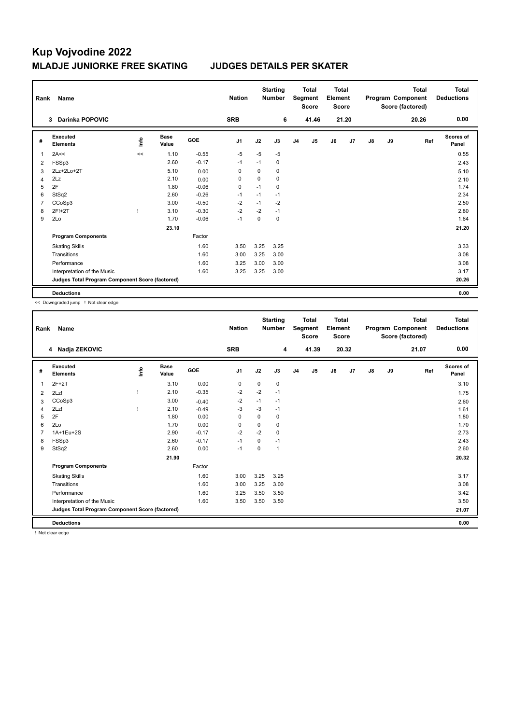| Rank           | Name                                            |      |                      |            | <b>Nation</b>  |          | <b>Starting</b><br><b>Number</b> |                | <b>Total</b><br>Segment<br><b>Score</b> | <b>Total</b><br>Element<br><b>Score</b> |       |    |    | <b>Total</b><br>Program Component<br>Score (factored) | <b>Total</b><br><b>Deductions</b> |
|----------------|-------------------------------------------------|------|----------------------|------------|----------------|----------|----------------------------------|----------------|-----------------------------------------|-----------------------------------------|-------|----|----|-------------------------------------------------------|-----------------------------------|
|                | <b>Darinka POPOVIC</b><br>3                     |      |                      |            | <b>SRB</b>     |          | 6                                |                | 41.46                                   |                                         | 21.20 |    |    | 20.26                                                 | 0.00                              |
| #              | Executed<br><b>Elements</b>                     | lnfo | <b>Base</b><br>Value | <b>GOE</b> | J <sub>1</sub> | J2       | J3                               | J <sub>4</sub> | J5                                      | J6                                      | J7    | J8 | J9 | Ref                                                   | Scores of<br>Panel                |
| 1              | 2A<<                                            | <<   | 1.10                 | $-0.55$    | $-5$           | $-5$     | $-5$                             |                |                                         |                                         |       |    |    |                                                       | 0.55                              |
| 2              | FSSp3                                           |      | 2.60                 | $-0.17$    | $-1$           | $-1$     | 0                                |                |                                         |                                         |       |    |    |                                                       | 2.43                              |
| 3              | 2Lz+2Lo+2T                                      |      | 5.10                 | 0.00       | $\Omega$       | $\Omega$ | 0                                |                |                                         |                                         |       |    |    |                                                       | 5.10                              |
| 4              | 2Lz                                             |      | 2.10                 | 0.00       | 0              | 0        | 0                                |                |                                         |                                         |       |    |    |                                                       | 2.10                              |
| 5              | 2F                                              |      | 1.80                 | $-0.06$    | 0              | $-1$     | 0                                |                |                                         |                                         |       |    |    |                                                       | 1.74                              |
| 6              | StSq2                                           |      | 2.60                 | $-0.26$    | $-1$           | $-1$     | $-1$                             |                |                                         |                                         |       |    |    |                                                       | 2.34                              |
| $\overline{7}$ | CCoSp3                                          |      | 3.00                 | $-0.50$    | $-2$           | $-1$     | $-2$                             |                |                                         |                                         |       |    |    |                                                       | 2.50                              |
| 8              | 2F!+2T                                          |      | 3.10                 | $-0.30$    | $-2$           | $-2$     | $-1$                             |                |                                         |                                         |       |    |    |                                                       | 2.80                              |
| 9              | 2Lo                                             |      | 1.70                 | $-0.06$    | $-1$           | 0        | 0                                |                |                                         |                                         |       |    |    |                                                       | 1.64                              |
|                |                                                 |      | 23.10                |            |                |          |                                  |                |                                         |                                         |       |    |    |                                                       | 21.20                             |
|                | <b>Program Components</b>                       |      |                      | Factor     |                |          |                                  |                |                                         |                                         |       |    |    |                                                       |                                   |
|                | <b>Skating Skills</b>                           |      |                      | 1.60       | 3.50           | 3.25     | 3.25                             |                |                                         |                                         |       |    |    |                                                       | 3.33                              |
|                | Transitions                                     |      |                      | 1.60       | 3.00           | 3.25     | 3.00                             |                |                                         |                                         |       |    |    |                                                       | 3.08                              |
|                | Performance                                     |      |                      | 1.60       | 3.25           | 3.00     | 3.00                             |                |                                         |                                         |       |    |    |                                                       | 3.08                              |
|                | Interpretation of the Music                     |      |                      | 1.60       | 3.25           | 3.25     | 3.00                             |                |                                         |                                         |       |    |    |                                                       | 3.17                              |
|                | Judges Total Program Component Score (factored) |      |                      |            |                |          |                                  |                |                                         |                                         |       |    |    |                                                       | 20.26                             |
|                | <b>Deductions</b>                               |      |                      |            |                |          |                                  |                |                                         |                                         |       |    |    |                                                       | 0.00                              |

<< Downgraded jump ! Not clear edge

| Rank | <b>Name</b>                                     |      |                      |         | <b>Nation</b>  |             | <b>Starting</b><br><b>Number</b> |                | <b>Total</b><br>Segment<br><b>Score</b> | <b>Total</b><br>Element<br><b>Score</b> |       |               |    | <b>Total</b><br>Program Component<br>Score (factored) | <b>Total</b><br><b>Deductions</b> |
|------|-------------------------------------------------|------|----------------------|---------|----------------|-------------|----------------------------------|----------------|-----------------------------------------|-----------------------------------------|-------|---------------|----|-------------------------------------------------------|-----------------------------------|
|      | Nadja ZEKOVIC<br>4                              |      |                      |         | <b>SRB</b>     |             | 4                                |                | 41.39                                   |                                         | 20.32 |               |    | 21.07                                                 | 0.00                              |
| #    | Executed<br><b>Elements</b>                     | lnfo | <b>Base</b><br>Value | GOE     | J <sub>1</sub> | J2          | J3                               | J <sub>4</sub> | J5                                      | J6                                      | J7    | $\mathsf{J}8$ | J9 | Ref                                                   | Scores of<br>Panel                |
| 1    | $2F+2T$                                         |      | 3.10                 | 0.00    | 0              | 0           | 0                                |                |                                         |                                         |       |               |    |                                                       | 3.10                              |
| 2    | 2Lz!                                            |      | 2.10                 | $-0.35$ | $-2$           | $-2$        | $-1$                             |                |                                         |                                         |       |               |    |                                                       | 1.75                              |
| 3    | CCoSp3                                          |      | 3.00                 | $-0.40$ | $-2$           | $-1$        | $-1$                             |                |                                         |                                         |       |               |    |                                                       | 2.60                              |
| 4    | 2Lz!                                            |      | 2.10                 | $-0.49$ | $-3$           | $-3$        | $-1$                             |                |                                         |                                         |       |               |    |                                                       | 1.61                              |
| 5    | 2F                                              |      | 1.80                 | 0.00    | 0              | 0           | 0                                |                |                                         |                                         |       |               |    |                                                       | 1.80                              |
| 6    | 2Lo                                             |      | 1.70                 | 0.00    | 0              | 0           | 0                                |                |                                         |                                         |       |               |    |                                                       | 1.70                              |
|      | 1A+1Eu+2S                                       |      | 2.90                 | $-0.17$ | $-2$           | $-2$        | 0                                |                |                                         |                                         |       |               |    |                                                       | 2.73                              |
| 8    | FSSp3                                           |      | 2.60                 | $-0.17$ | $-1$           | $\mathbf 0$ | $-1$                             |                |                                         |                                         |       |               |    |                                                       | 2.43                              |
| 9    | StSq2                                           |      | 2.60                 | 0.00    | $-1$           | 0           | $\mathbf{1}$                     |                |                                         |                                         |       |               |    |                                                       | 2.60                              |
|      |                                                 |      | 21.90                |         |                |             |                                  |                |                                         |                                         |       |               |    |                                                       | 20.32                             |
|      | <b>Program Components</b>                       |      |                      | Factor  |                |             |                                  |                |                                         |                                         |       |               |    |                                                       |                                   |
|      | <b>Skating Skills</b>                           |      |                      | 1.60    | 3.00           | 3.25        | 3.25                             |                |                                         |                                         |       |               |    |                                                       | 3.17                              |
|      | Transitions                                     |      |                      | 1.60    | 3.00           | 3.25        | 3.00                             |                |                                         |                                         |       |               |    |                                                       | 3.08                              |
|      | Performance                                     |      |                      | 1.60    | 3.25           | 3.50        | 3.50                             |                |                                         |                                         |       |               |    |                                                       | 3.42                              |
|      | Interpretation of the Music                     |      |                      | 1.60    | 3.50           | 3.50        | 3.50                             |                |                                         |                                         |       |               |    |                                                       | 3.50                              |
|      | Judges Total Program Component Score (factored) |      |                      |         |                |             |                                  |                |                                         |                                         |       |               |    |                                                       | 21.07                             |
|      | <b>Deductions</b>                               |      |                      |         |                |             |                                  |                |                                         |                                         |       |               |    |                                                       | 0.00                              |

! Not clear edge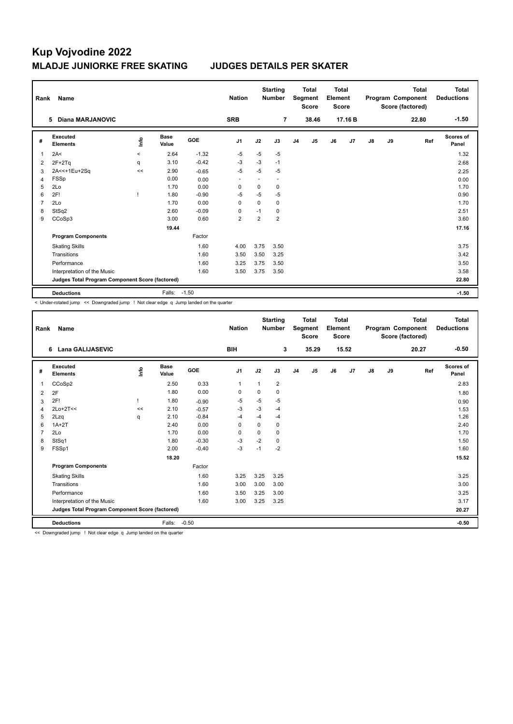| Rank           | Name                                            |             |                      |            | <b>Nation</b>  |             | <b>Starting</b><br><b>Number</b> |                | <b>Total</b><br>Segment<br><b>Score</b> | Total<br>Element<br><b>Score</b> |                |    |    | <b>Total</b><br>Program Component<br>Score (factored) | Total<br><b>Deductions</b> |
|----------------|-------------------------------------------------|-------------|----------------------|------------|----------------|-------------|----------------------------------|----------------|-----------------------------------------|----------------------------------|----------------|----|----|-------------------------------------------------------|----------------------------|
|                | <b>Diana MARJANOVIC</b><br>5                    |             |                      |            | <b>SRB</b>     |             | $\overline{7}$                   |                | 38.46                                   |                                  | 17.16B         |    |    | 22.80                                                 | $-1.50$                    |
| #              | Executed<br><b>Elements</b>                     | <u>info</u> | <b>Base</b><br>Value | <b>GOE</b> | J <sub>1</sub> | J2          | J3                               | J <sub>4</sub> | J <sub>5</sub>                          | J6                               | J <sub>7</sub> | J8 | J9 | Ref                                                   | Scores of<br>Panel         |
| 1              | 2A<                                             | $\prec$     | 2.64                 | $-1.32$    | $-5$           | $-5$        | $-5$                             |                |                                         |                                  |                |    |    |                                                       | 1.32                       |
| 2              | $2F+2Tq$                                        | q           | 3.10                 | $-0.42$    | $-3$           | $-3$        | $-1$                             |                |                                         |                                  |                |    |    |                                                       | 2.68                       |
| 3              | 2A<<+1Eu+2Sq                                    | <<          | 2.90                 | $-0.65$    | $-5$           | $-5$        | $-5$                             |                |                                         |                                  |                |    |    |                                                       | 2.25                       |
| 4              | FSSp                                            |             | 0.00                 | 0.00       |                |             |                                  |                |                                         |                                  |                |    |    |                                                       | 0.00                       |
| 5              | 2Lo                                             |             | 1.70                 | 0.00       | 0              | $\mathbf 0$ | 0                                |                |                                         |                                  |                |    |    |                                                       | 1.70                       |
| 6              | 2F!                                             |             | 1.80                 | $-0.90$    | -5             | $-5$        | $-5$                             |                |                                         |                                  |                |    |    |                                                       | 0.90                       |
| $\overline{7}$ | 2Lo                                             |             | 1.70                 | 0.00       | 0              | $\mathbf 0$ | $\mathbf 0$                      |                |                                         |                                  |                |    |    |                                                       | 1.70                       |
| 8              | StSq2                                           |             | 2.60                 | $-0.09$    | 0              | $-1$        | 0                                |                |                                         |                                  |                |    |    |                                                       | 2.51                       |
| 9              | CCoSp3                                          |             | 3.00                 | 0.60       | $\overline{2}$ | 2           | $\overline{2}$                   |                |                                         |                                  |                |    |    |                                                       | 3.60                       |
|                |                                                 |             | 19.44                |            |                |             |                                  |                |                                         |                                  |                |    |    |                                                       | 17.16                      |
|                | <b>Program Components</b>                       |             |                      | Factor     |                |             |                                  |                |                                         |                                  |                |    |    |                                                       |                            |
|                | <b>Skating Skills</b>                           |             |                      | 1.60       | 4.00           | 3.75        | 3.50                             |                |                                         |                                  |                |    |    |                                                       | 3.75                       |
|                | Transitions                                     |             |                      | 1.60       | 3.50           | 3.50        | 3.25                             |                |                                         |                                  |                |    |    |                                                       | 3.42                       |
|                | Performance                                     |             |                      | 1.60       | 3.25           | 3.75        | 3.50                             |                |                                         |                                  |                |    |    |                                                       | 3.50                       |
|                | Interpretation of the Music                     |             |                      | 1.60       | 3.50           | 3.75        | 3.50                             |                |                                         |                                  |                |    |    |                                                       | 3.58                       |
|                | Judges Total Program Component Score (factored) |             |                      |            |                |             |                                  |                |                                         |                                  |                |    |    |                                                       | 22.80                      |
|                | <b>Deductions</b>                               |             | Falls:               | $-1.50$    |                |             |                                  |                |                                         |                                  |                |    |    |                                                       | $-1.50$                    |

< Under-rotated jump << Downgraded jump ! Not clear edge q Jump landed on the quarter

| Rank | Name                                            |    |                      |         | <b>Nation</b>  |          | <b>Starting</b><br><b>Number</b> |                | <b>Total</b><br>Segment<br><b>Score</b> | Total<br>Element<br><b>Score</b> |       |               |    | <b>Total</b><br>Program Component<br>Score (factored) | <b>Total</b><br><b>Deductions</b> |
|------|-------------------------------------------------|----|----------------------|---------|----------------|----------|----------------------------------|----------------|-----------------------------------------|----------------------------------|-------|---------------|----|-------------------------------------------------------|-----------------------------------|
|      | <b>Lana GALIJASEVIC</b><br>6                    |    |                      |         | <b>BIH</b>     |          | 3                                |                | 35.29                                   |                                  | 15.52 |               |    | 20.27                                                 | $-0.50$                           |
| #    | Executed<br><b>Elements</b>                     | ۴  | <b>Base</b><br>Value | GOE     | J <sub>1</sub> | J2       | J3                               | J <sub>4</sub> | J <sub>5</sub>                          | J6                               | J7    | $\mathsf{J}8$ | J9 | Ref                                                   | <b>Scores of</b><br>Panel         |
| 1    | CCoSp2                                          |    | 2.50                 | 0.33    | 1              | 1        | 2                                |                |                                         |                                  |       |               |    |                                                       | 2.83                              |
| 2    | 2F                                              |    | 1.80                 | 0.00    | $\Omega$       | $\Omega$ | 0                                |                |                                         |                                  |       |               |    |                                                       | 1.80                              |
| 3    | 2F!                                             |    | 1.80                 | $-0.90$ | $-5$           | -5       | -5                               |                |                                         |                                  |       |               |    |                                                       | 0.90                              |
| 4    | $2Lo+2T<<$                                      | << | 2.10                 | $-0.57$ | $-3$           | $-3$     | $-4$                             |                |                                         |                                  |       |               |    |                                                       | 1.53                              |
| 5    | 2Lzq                                            | q  | 2.10                 | $-0.84$ | -4             | $-4$     | $-4$                             |                |                                         |                                  |       |               |    |                                                       | 1.26                              |
| 6    | $1A+2T$                                         |    | 2.40                 | 0.00    | $\Omega$       | $\Omega$ | 0                                |                |                                         |                                  |       |               |    |                                                       | 2.40                              |
|      | 2Lo                                             |    | 1.70                 | 0.00    | $\Omega$       | $\Omega$ | 0                                |                |                                         |                                  |       |               |    |                                                       | 1.70                              |
| 8    | StSq1                                           |    | 1.80                 | $-0.30$ | $-3$           | $-2$     | 0                                |                |                                         |                                  |       |               |    |                                                       | 1.50                              |
| 9    | FSSp1                                           |    | 2.00                 | $-0.40$ | $-3$           | $-1$     | $-2$                             |                |                                         |                                  |       |               |    |                                                       | 1.60                              |
|      |                                                 |    | 18.20                |         |                |          |                                  |                |                                         |                                  |       |               |    |                                                       | 15.52                             |
|      | <b>Program Components</b>                       |    |                      | Factor  |                |          |                                  |                |                                         |                                  |       |               |    |                                                       |                                   |
|      | <b>Skating Skills</b>                           |    |                      | 1.60    | 3.25           | 3.25     | 3.25                             |                |                                         |                                  |       |               |    |                                                       | 3.25                              |
|      | Transitions                                     |    |                      | 1.60    | 3.00           | 3.00     | 3.00                             |                |                                         |                                  |       |               |    |                                                       | 3.00                              |
|      | Performance                                     |    |                      | 1.60    | 3.50           | 3.25     | 3.00                             |                |                                         |                                  |       |               |    |                                                       | 3.25                              |
|      | Interpretation of the Music                     |    |                      | 1.60    | 3.00           | 3.25     | 3.25                             |                |                                         |                                  |       |               |    |                                                       | 3.17                              |
|      | Judges Total Program Component Score (factored) |    |                      |         |                |          |                                  |                |                                         |                                  |       |               |    |                                                       | 20.27                             |
|      | <b>Deductions</b>                               |    | Falls:               | $-0.50$ |                |          |                                  |                |                                         |                                  |       |               |    |                                                       | $-0.50$                           |

<< Downgraded jump ! Not clear edge q Jump landed on the quarter